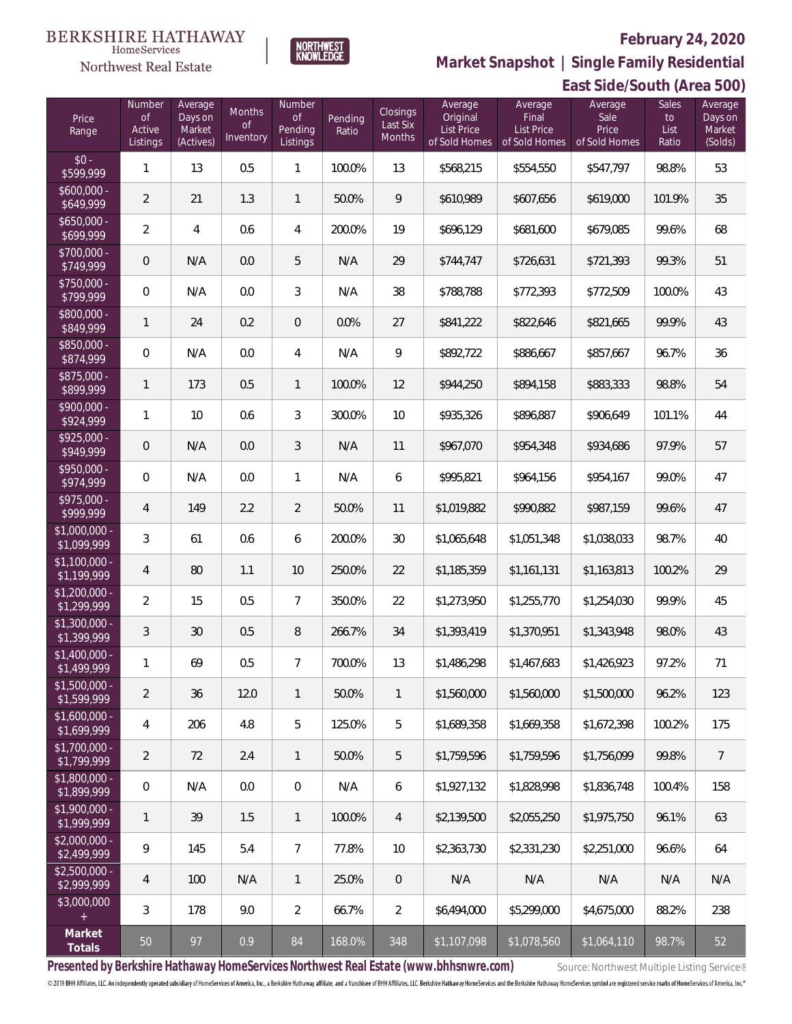

HomeServices **Northwest Real Estate** 

**Market Snapshot | Single Family Residential**

#### **East Side/South (Area 500)** Price Range Number of Active Listings **Number** of Pending Listings Pending Ratio Closings Last Six Months Average Original List Price of Sold Homes Average Final List Price of Sold Homes Sales to List Ratio Average Sale Price of Sold Homes Average Days on Market (Solds) Average Days on Market (Actives) Months of **Inventory**  $$0 - $99$ \$599,999 <sup>1</sup> <sup>13</sup> 0.5 <sup>1</sup> 100.0% <sup>13</sup> \$568,215 \$554,550 \$547,797 98.8% <sup>53</sup> \$600,000<br>\$649,999 \$649,999 <sup>2</sup> <sup>21</sup> 1.3 <sup>1</sup> 50.0% <sup>9</sup> \$610,989 \$607,656 \$619,000 101.9% <sup>35</sup> \$650,000<br>\$699.999 \$699,999 <sup>2</sup> <sup>4</sup> 0.6 <sup>4</sup> 200.0% <sup>19</sup> \$696,129 \$681,600 \$679,085 99.6% <sup>68</sup> \$700,000 - \$749,999 <sup>0</sup> N/A 0.0 <sup>5</sup> N/A <sup>29</sup> \$744,747 \$726,631 \$721,393 99.3% <sup>51</sup> \$750,000 \$799,999 <sup>0</sup> N/A 0.0 <sup>3</sup> N/A <sup>38</sup> \$788,788 \$772,393 \$772,509 100.0% <sup>43</sup> \$800,000 \$849,999 <sup>1</sup> <sup>24</sup> 0.2 <sup>0</sup> 0.0% <sup>27</sup> \$841,222 \$822,646 \$821,665 99.9% <sup>43</sup> \$850,000<br>\$874,999 \$874,999 0 N/A 0.0 4 N/A 9 \$892,722 \$886,667 \$857,667 96.7% 36 \$875,000<br>\$899,999 \$899,999 <sup>1</sup> <sup>173</sup> 0.5 <sup>1</sup> 100.0% <sup>12</sup> \$944,250 \$894,158 \$883,333 98.8% <sup>54</sup> \$900,000<br>\$924,999 \$924,999 <sup>1</sup> <sup>10</sup> 0.6 <sup>3</sup> 300.0% <sup>10</sup> \$935,326 \$896,887 \$906,649 101.1% <sup>44</sup> \$925,000 -<br>\$949,999 \$949,999 <sup>0</sup> N/A 0.0 <sup>3</sup> N/A <sup>11</sup> \$967,070 \$954,348 \$934,686 97.9% <sup>57</sup> \$950,000<br>\$974,9<u>9</u>9 \$974,999 0 N/A 0.0 1 N/A 6 \$995,821 \$964,156 \$954,167 99.0% 47 \$975,000 \$999,999 <sup>4</sup> <sup>149</sup> 2.2 <sup>2</sup> 50.0% <sup>11</sup> \$1,019,882 \$990,882 \$987,159 99.6% <sup>47</sup> \$1,000,000 -  $\texttt{[0.99,999]} \quad \textbf{[3]} \quad \textbf{[6]} \quad \textbf{[0.6]} \quad \textbf{[6]} \quad \textbf{[200.0\%]} \quad \textbf{[30]} \quad \textbf{[1,065,648]} \quad \textbf{[1,051,348]} \quad \textbf{[1,038,033]} \quad \textbf{[98.7\%]} \quad \textbf{[40]} \quad \textbf{[200.0\%]} \quad \textbf{[31,005,648]} \quad \textbf{[31,051,348]} \quad \textbf{[31,038,033$ \$1,100,000 -  $\texttt{[3]}{199,999}$  4 80 1.1 10 250.0% 22 \$1,185,359 \$1,161,131 \$1,163,813 100.2% 29 \$1,200,000 - \$1,299,999 <sup>2</sup> <sup>15</sup> 0.5 <sup>7</sup> 350.0% <sup>22</sup> \$1,273,950 \$1,255,770 \$1,254,030 99.9% <sup>45</sup> \$1,300,000 - \$1,399,999 <sup>3</sup> <sup>30</sup> 0.5 <sup>8</sup> 266.7% <sup>34</sup> \$1,393,419 \$1,370,951 \$1,343,948 98.0% <sup>43</sup> \$1,400,000 \$1,499,999 <sup>1</sup> <sup>69</sup> 0.5 <sup>7</sup> 700.0% <sup>13</sup> \$1,486,298 \$1,467,683 \$1,426,923 97.2% <sup>71</sup> \$1,500,000<br>\$1,599,999 \$1,599,999 <sup>2</sup> <sup>36</sup> 12.0 <sup>1</sup> 50.0% <sup>1</sup> \$1,560,000 \$1,560,000 \$1,500,000 96.2% <sup>123</sup> \$1,600,000 - \$1,699,999 4 206 4.8 5 125.0% 5 \$1,689,358 \$1,669,358 \$1,672,398 100.2% 175 \$1,700,000 - \$1,799,999 <sup>2</sup> <sup>72</sup> 2.4 <sup>1</sup> 50.0% <sup>5</sup> \$1,759,596 \$1,759,596 \$1,756,099 99.8% <sup>7</sup> \$1,800,000 - \$1,899,999 <sup>0</sup> N/A 0.0 <sup>0</sup> N/A <sup>6</sup> \$1,927,132 \$1,828,998 \$1,836,748 100.4% <sup>158</sup> \$1,900,000<br>\$1.999.999 \$1,999,999 <sup>1</sup> <sup>39</sup> 1.5 <sup>1</sup> 100.0% <sup>4</sup> \$2,139,500 \$2,055,250 \$1,975,750 96.1% <sup>63</sup>

**Presented by Berkshire Hathaway HomeServices Northwest Real Estate (www.bhhsnwre.com)** Source: Northwest Multiple Listing Service®

\$2,000,000 -

\$2,500,000 -

\$3,000,000

**Market**

© 2019 BHH Affiliates, LLC. An independently operated subsidiary of HomeServices of America, Inc., a Berkshire Hathaway affiliate, and a franchisee of BHH Affiliates, LLC. Berkshire Hathaway HomeServices and the Berkshire

**Totals** <sup>50</sup> <sup>97</sup> 0.9 <sup>84</sup> 168.0% <sup>348</sup> \$1,107,098 \$1,078,560 \$1,064,110 98.7% <sup>52</sup>

\$2,499,999 <sup>9</sup> <sup>145</sup> 5.4 <sup>7</sup> 77.8% <sup>10</sup> \$2,363,730 \$2,331,230 \$2,251,000 96.6% <sup>64</sup>

\$2,999,999 <sup>4</sup> <sup>100</sup> N/A <sup>1</sup> 25.0% <sup>0</sup> N/A N/A N/A N/A N/A

3 178 9.0 2 66.7% 2 \$6,494,000 \$5,299,000 \$4,675,000 88.2% 238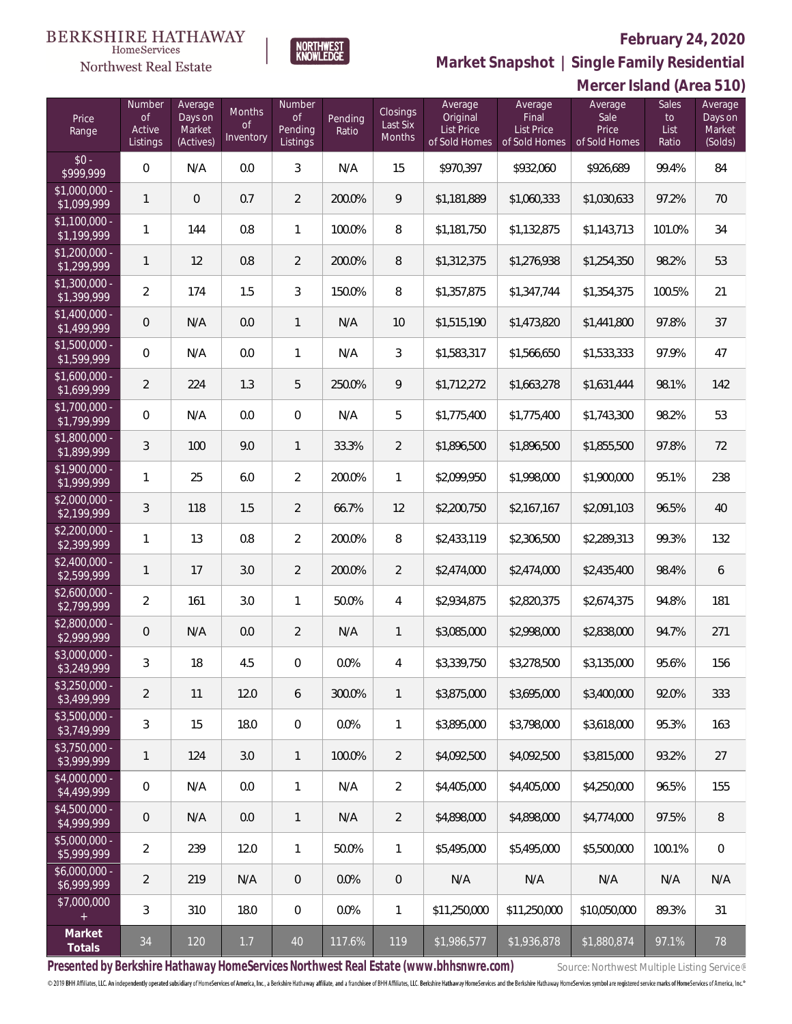

## **Market Snapshot | Single Family Residential**

#### **BERKSHIRE HATHAWAY**  $\label{lem:sevices} \textsc{Home} \textsc{Service} \textsc{s}$ Northwest Real Estate

|                               | Mercer Island (Area 510)           |                                           |                                  |                                            |                  |                                |                                                    |                                                        |                                           |                                     |                                         |
|-------------------------------|------------------------------------|-------------------------------------------|----------------------------------|--------------------------------------------|------------------|--------------------------------|----------------------------------------------------|--------------------------------------------------------|-------------------------------------------|-------------------------------------|-----------------------------------------|
| Price<br>Range                | Number<br>0f<br>Active<br>Listings | Average<br>Days on<br>Market<br>(Actives) | Months<br><b>of</b><br>Inventory | Number<br><b>of</b><br>Pending<br>Listings | Pending<br>Ratio | Closings<br>Last Six<br>Months | Average<br>Original<br>List Price<br>of Sold Homes | Average<br>Final<br><b>List Price</b><br>of Sold Homes | Average<br>Sale<br>Price<br>of Sold Homes | <b>Sales</b><br>to<br>List<br>Ratio | Average<br>Days on<br>Market<br>(Solds) |
| $$0 -$<br>\$999,999           | $\mathbf 0$                        | N/A                                       | 0.0                              | $\sqrt{3}$                                 | N/A              | 15                             | \$970,397                                          | \$932,060                                              | \$926,689                                 | 99.4%                               | 84                                      |
| \$1,000,000 -<br>\$1,099,999  | 1                                  | $\mathbf 0$                               | 0.7                              | $\overline{2}$                             | 200.0%           | 9                              | \$1,181,889                                        | \$1,060,333                                            | \$1,030,633                               | 97.2%                               | 70                                      |
| $$1,100,000$ -<br>\$1,199,999 | 1                                  | 144                                       | 0.8                              | $\mathbf{1}$                               | 100.0%           | 8                              | \$1,181,750                                        | \$1,132,875                                            | \$1,143,713                               | 101.0%                              | 34                                      |
| $$1,200,000$ -<br>\$1,299,999 | 1                                  | 12                                        | 0.8                              | 2                                          | 200.0%           | 8                              | \$1,312,375                                        | \$1,276,938                                            | \$1,254,350                               | 98.2%                               | 53                                      |
| $$1,300,000 -$<br>\$1,399,999 | $\overline{2}$                     | 174                                       | 1.5                              | 3                                          | 150.0%           | 8                              | \$1,357,875                                        | \$1,347,744                                            | \$1,354,375                               | 100.5%                              | 21                                      |
| $$1,400,000$ -<br>\$1,499,999 | $\mathbf 0$                        | N/A                                       | 0.0                              | $\mathbf{1}$                               | N/A              | 10                             | \$1,515,190                                        | \$1,473,820                                            | \$1,441,800                               | 97.8%                               | 37                                      |
| $$1,500,000 -$<br>\$1,599,999 | $\mathbf 0$                        | N/A                                       | 0.0                              | $\mathbf{1}$                               | N/A              | 3                              | \$1,583,317                                        | \$1,566,650                                            | \$1,533,333                               | 97.9%                               | 47                                      |
| $$1,600,000$ -<br>\$1,699,999 | $\overline{2}$                     | 224                                       | 1.3                              | 5                                          | 250.0%           | 9                              | \$1,712,272                                        | \$1,663,278                                            | \$1,631,444                               | 98.1%                               | 142                                     |
| \$1,700,000 -<br>\$1,799,999  | $\mathbf 0$                        | N/A                                       | 0.0                              | 0                                          | N/A              | 5                              | \$1,775,400                                        | \$1,775,400                                            | \$1,743,300                               | 98.2%                               | 53                                      |
| \$1,800,000 -<br>\$1,899,999  | 3                                  | 100                                       | 9.0                              | $\mathbf{1}$                               | 33.3%            | $\overline{2}$                 | \$1,896,500                                        | \$1,896,500                                            | \$1,855,500                               | 97.8%                               | 72                                      |
| \$1,900,000 -<br>\$1,999,999  | 1                                  | 25                                        | 6.0                              | 2                                          | 200.0%           | 1                              | \$2,099,950                                        | \$1,998,000                                            | \$1,900,000                               | 95.1%                               | 238                                     |
| $$2,000,000 -$<br>\$2,199,999 | 3                                  | 118                                       | 1.5                              | 2                                          | 66.7%            | 12                             | \$2,200,750                                        | \$2,167,167                                            | \$2,091,103                               | 96.5%                               | 40                                      |
| $$2,200,000$ -<br>\$2,399,999 | 1                                  | 13                                        | 0.8                              | $\overline{2}$                             | 200.0%           | 8                              | \$2,433,119                                        | \$2,306,500                                            | \$2,289,313                               | 99.3%                               | 132                                     |
| $$2,400,000 -$<br>\$2,599,999 | 1                                  | 17                                        | 3.0                              | 2                                          | 200.0%           | $\overline{2}$                 | \$2,474,000                                        | \$2,474,000                                            | \$2,435,400                               | 98.4%                               | 6                                       |
| $$2,600,000 -$<br>\$2,799,999 | $\overline{2}$                     | 161                                       | 3.0                              | $\mathbf{1}$                               | 50.0%            | 4                              | \$2,934,875                                        | \$2,820,375                                            | \$2,674,375                               | 94.8%                               | 181                                     |
| \$2,800,000 -<br>\$2,999,999  | $\theta$                           | N/A                                       | 0.0                              | $\overline{2}$                             | N/A              | 1                              | \$3,085,000                                        | \$2,998,000                                            | \$2,838,000                               | 94.7%                               | 271                                     |
| \$3,000,000 -<br>\$3,249,999  | 3                                  | 18                                        | 4.5                              | $\mathbf{0}$                               | 0.0%             | 4                              | \$3,339,750                                        | \$3,278,500                                            | \$3,135,000                               | 95.6%                               | 156                                     |
| $$3,250,000 -$<br>\$3,499,999 | $\overline{2}$                     | 11                                        | 12.0                             | 6                                          | 300.0%           | $\mathbf{1}$                   | \$3,875,000                                        | \$3,695,000                                            | \$3,400,000                               | 92.0%                               | 333                                     |
| $$3,500,000 -$<br>\$3,749,999 | 3                                  | 15                                        | 18.0                             | $\mathbf 0$                                | 0.0%             | 1                              | \$3,895,000                                        | \$3,798,000                                            | \$3,618,000                               | 95.3%                               | 163                                     |
| $$3,750,000 -$<br>\$3,999,999 | 1                                  | 124                                       | 3.0                              | $\mathbf{1}$                               | 100.0%           | $\overline{2}$                 | \$4.092.500                                        | \$4,092,500                                            | \$3,815,000                               | 93.2%                               | 27                                      |
| \$4,000,000 -<br>\$4,499,999  | 0                                  | N/A                                       | 0.0                              | $\mathbf{1}$                               | N/A              | $\overline{2}$                 | \$4,405,000                                        | \$4,405,000                                            | \$4,250,000                               | 96.5%                               | 155                                     |
| \$4,500,000 -<br>\$4,999,999  | $\mathbf 0$                        | N/A                                       | 0.0                              | $\mathbf{1}$                               | N/A              | 2                              | \$4,898,000                                        | \$4,898,000                                            | \$4,774,000                               | 97.5%                               | 8                                       |
| $$5,000,000 -$<br>\$5,999,999 | 2                                  | 239                                       | 12.0                             | $\mathbf{1}$                               | 50.0%            | $\mathbf{1}$                   | \$5,495,000                                        | \$5,495,000                                            | \$5,500,000                               | 100.1%                              | $\overline{0}$                          |
| $$6,000,000 -$<br>\$6,999,999 | 2                                  | 219                                       | N/A                              | $\overline{0}$                             | $0.0\%$          | $\overline{0}$                 | N/A                                                | N/A                                                    | N/A                                       | N/A                                 | N/A                                     |
| \$7,000,000                   | 3                                  | 310                                       | 18.0                             | $\overline{0}$                             | $0.0\%$          | 1                              | \$11,250,000                                       | \$11,250,000                                           | \$10,050,000                              | 89.3%                               | 31                                      |
| Market<br>Totals              | 34                                 | 120                                       | 1.7                              | 40                                         | 117.6%           | 119                            | \$1,986,577                                        | \$1,936,878                                            | \$1,880,874                               | 97.1%                               | 78                                      |

Presented by Berkshire Hathaway HomeServices Northwest Real Estate (www.bhhsnwre.com) Source: Northwest Multiple Listing Service®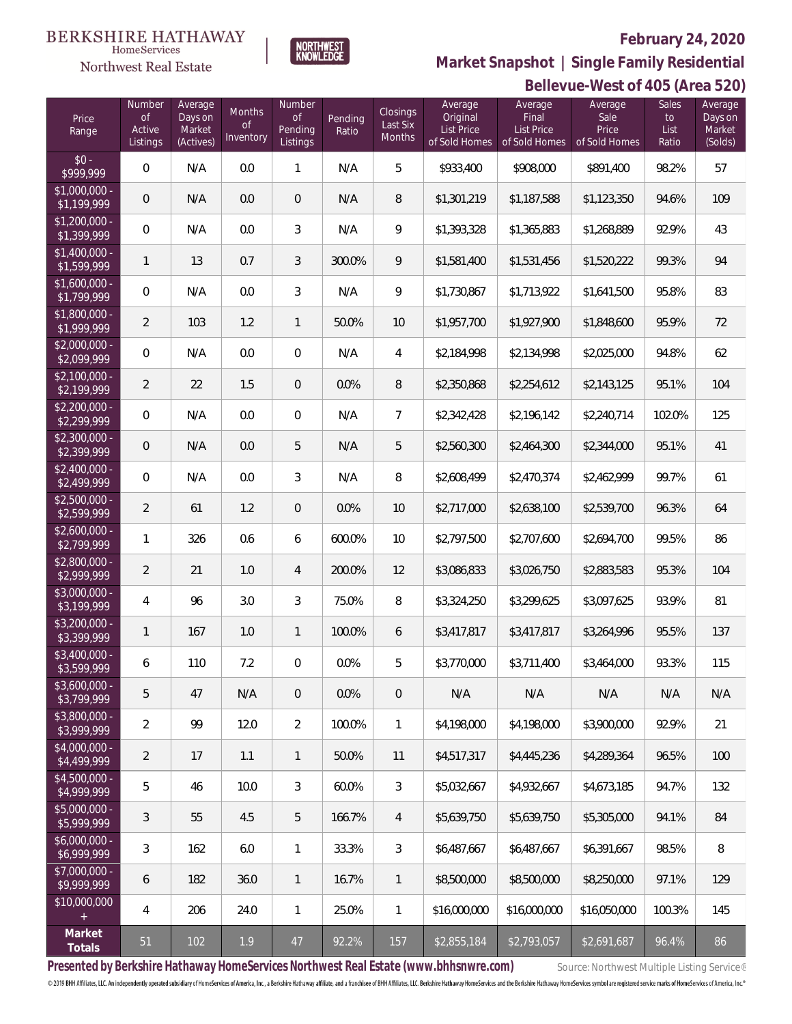

**Bellevue-West of 405 (Area 520) Market Snapshot | Single Family Residential**

#### **BERKSHIRE HATHAWAY** NORTHWEST<br>KNOWLEDGE  $\label{lem:sevices} \textsc{Home} \textsc{Service} \textsc{s}$

Northwest Real Estate

| Price<br>Range                | Number<br>0f<br>Active<br>Listings | Average<br>Days on<br>Market<br>(Actives) | Months<br>Οf<br>Inventory | Number<br>Οf<br>Pending<br>Listings | Pending<br>Ratio | <b>Closings</b><br>Last Six<br>Months | Average<br>Original<br><b>List Price</b><br>of Sold Homes | Average<br>Final<br><b>List Price</b><br>of Sold Homes | Average<br>Sale<br>Price<br>of Sold Homes | <b>Sales</b><br>to<br>List<br>Ratio | Average<br>Days on<br>Market<br>(Solds) |
|-------------------------------|------------------------------------|-------------------------------------------|---------------------------|-------------------------------------|------------------|---------------------------------------|-----------------------------------------------------------|--------------------------------------------------------|-------------------------------------------|-------------------------------------|-----------------------------------------|
| $$0 -$<br>\$999,999           | 0                                  | N/A                                       | 0.0                       | $\mathbf{1}$                        | N/A              | 5                                     | \$933,400                                                 | \$908,000                                              | \$891,400                                 | 98.2%                               | 57                                      |
| $$1,000,000 -$<br>\$1,199,999 | $\mathbf 0$                        | N/A                                       | 0.0                       | $\overline{0}$                      | N/A              | 8                                     | \$1,301,219                                               | \$1,187,588                                            | \$1,123,350                               | 94.6%                               | 109                                     |
| $$1,200,000 -$<br>\$1,399,999 | 0                                  | N/A                                       | 0.0                       | $\mathfrak{Z}$                      | N/A              | 9                                     | \$1,393,328                                               | \$1,365,883                                            | \$1,268,889                               | 92.9%                               | 43                                      |
| $$1,400,000 -$<br>\$1,599,999 | $\mathbf{1}$                       | 13                                        | 0.7                       | 3                                   | 300.0%           | 9                                     | \$1,581,400                                               | \$1,531,456                                            | \$1,520,222                               | 99.3%                               | 94                                      |
| $$1,600,000 -$<br>\$1,799,999 | 0                                  | N/A                                       | 0.0                       | 3                                   | N/A              | 9                                     | \$1,730,867                                               | \$1,713,922                                            | \$1,641,500                               | 95.8%                               | 83                                      |
| \$1,800,000 -<br>\$1,999,999  | $\overline{2}$                     | 103                                       | 1.2                       | $\mathbf{1}$                        | 50.0%            | 10                                    | \$1,957,700                                               | \$1,927,900                                            | \$1,848,600                               | 95.9%                               | 72                                      |
| $$2,000,000 -$<br>\$2,099,999 | 0                                  | N/A                                       | 0.0                       | $\overline{0}$                      | N/A              | 4                                     | \$2,184,998                                               | \$2,134,998                                            | \$2,025,000                               | 94.8%                               | 62                                      |
| $$2,100,000 -$<br>\$2,199,999 | $\overline{2}$                     | 22                                        | 1.5                       | $\overline{0}$                      | 0.0%             | $\, 8$                                | \$2,350,868                                               | \$2,254,612                                            | \$2,143,125                               | 95.1%                               | 104                                     |
| $$2,200,000 -$<br>\$2,299,999 | 0                                  | N/A                                       | 0.0                       | $\overline{0}$                      | N/A              | $\overline{7}$                        | \$2,342,428                                               | \$2,196,142                                            | \$2,240,714                               | 102.0%                              | 125                                     |
| $$2,300,000 -$<br>\$2,399,999 | $\mathbf 0$                        | N/A                                       | 0.0                       | 5                                   | N/A              | 5                                     | \$2,560,300                                               | \$2,464,300                                            | \$2,344,000                               | 95.1%                               | 41                                      |
| $$2,400,000 -$<br>\$2,499,999 | 0                                  | N/A                                       | 0.0                       | 3                                   | N/A              | 8                                     | \$2,608,499                                               | \$2,470,374                                            | \$2,462,999                               | 99.7%                               | 61                                      |
| $$2,500,000 -$<br>\$2,599,999 | $\overline{2}$                     | 61                                        | 1.2                       | $\overline{0}$                      | 0.0%             | 10                                    | \$2,717,000                                               | \$2,638,100                                            | \$2,539,700                               | 96.3%                               | 64                                      |
| $$2,600,000 -$<br>\$2,799,999 | 1                                  | 326                                       | 0.6                       | 6                                   | 600.0%           | 10                                    | \$2,797,500                                               | \$2,707,600                                            | \$2,694,700                               | 99.5%                               | 86                                      |
| \$2,800,000 -<br>\$2,999,999  | $\overline{2}$                     | 21                                        | 1.0                       | 4                                   | 200.0%           | 12                                    | \$3,086,833                                               | \$3,026,750                                            | \$2,883,583                               | 95.3%                               | 104                                     |
| \$3,000,000 -<br>\$3,199,999  | 4                                  | 96                                        | 3.0                       | 3                                   | 75.0%            | 8                                     | \$3,324,250                                               | \$3,299,625                                            | \$3,097,625                               | 93.9%                               | 81                                      |
| $$3,200,000 -$<br>\$3,399,999 | 1                                  | 167                                       | 1.0                       | $\mathbf{1}$                        | 100.0%           | 6                                     | \$3,417,817                                               | \$3,417,817                                            | \$3,264,996                               | 95.5%                               | 137                                     |
| \$3,400,000 -<br>\$3,599,999  | 6                                  | 110                                       | 7.2                       | $\mathbf{0}$                        | 0.0%             | 5                                     | \$3,770,000                                               | \$3,711,400                                            | \$3,464,000                               | 93.3%                               | 115                                     |
| $$3,600,000 -$<br>\$3.799.999 | 5                                  | 47                                        | N/A                       | $\overline{0}$                      | 0.0%             | $\overline{0}$                        | N/A                                                       | N/A                                                    | N/A                                       | N/A                                 | N/A                                     |
| $$3,800,000 -$<br>\$3,999,999 | $\overline{2}$                     | 99                                        | 12.0                      | $\overline{2}$                      | 100.0%           | 1                                     | \$4,198,000                                               | \$4,198,000                                            | \$3,900,000                               | 92.9%                               | 21                                      |
| \$4,000,000 -<br>\$4,499,999  | $\overline{2}$                     | 17                                        | 1.1                       | 1                                   | 50.0%            | 11                                    | \$4,517,317                                               | \$4,445,236                                            | \$4,289,364                               | 96.5%                               | 100                                     |
| $$4,500,000 -$<br>\$4,999,999 | 5                                  | 46                                        | 10.0                      | 3                                   | 60.0%            | 3                                     | \$5,032,667                                               | \$4,932,667                                            | \$4,673,185                               | 94.7%                               | 132                                     |
| $$5,000,000 -$<br>\$5,999,999 | 3                                  | 55                                        | 4.5                       | 5                                   | 166.7%           | 4                                     | \$5,639,750                                               | \$5,639,750                                            | \$5,305,000                               | 94.1%                               | 84                                      |
| $$6,000,000 -$<br>\$6,999,999 | 3                                  | 162                                       | 6.0                       | $\mathbf{1}$                        | 33.3%            | 3                                     | \$6,487,667                                               | \$6,487,667                                            | \$6,391,667                               | 98.5%                               | 8                                       |
| \$7,000,000 -<br>\$9,999,999  | 6                                  | 182                                       | 36.0                      | 1                                   | 16.7%            | 1                                     | \$8,500,000                                               | \$8,500,000                                            | \$8,250,000                               | 97.1%                               | 129                                     |
| \$10,000,000<br>$+$           | $\overline{4}$                     | 206                                       | 24.0                      | $\mathbf{1}$                        | 25.0%            | $\mathbf{1}$                          | \$16,000,000                                              | \$16,000,000                                           | \$16,050,000                              | 100.3%                              | 145                                     |
| Market<br>Totals              | 51                                 | 102                                       | 1.9                       | 47                                  | 92.2%            | 157                                   | \$2,855,184                                               | \$2,793,057                                            | \$2,691,687                               | 96.4%                               | 86                                      |

Presented by Berkshire Hathaway HomeServices Northwest Real Estate (www.bhhsnwre.com) Source: Northwest Multiple Listing Service®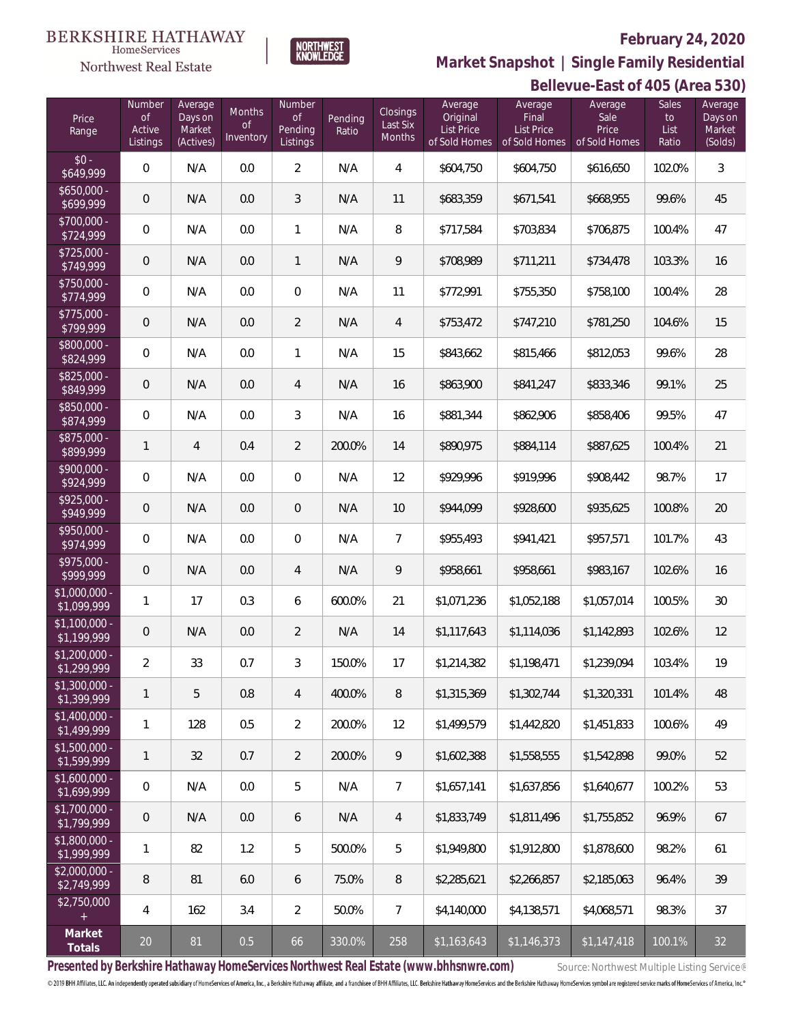

HomeServices Northwest Real Estate

**Bellevue-East of 405 (Area 530) Market Snapshot | Single Family Residential**

|                               |                                           |                                           |                                         |                                            |                  |                                              |                                                    |                                                 | DEIIEVUE-LASI UI 400 (AFEA JJU)           |                                     |                                         |
|-------------------------------|-------------------------------------------|-------------------------------------------|-----------------------------------------|--------------------------------------------|------------------|----------------------------------------------|----------------------------------------------------|-------------------------------------------------|-------------------------------------------|-------------------------------------|-----------------------------------------|
| Price<br>Range                | Number<br><b>of</b><br>Active<br>Listings | Average<br>Days on<br>Market<br>(Actives) | <b>Months</b><br>$\circ f$<br>Inventory | Number<br>$\circ$ f<br>Pending<br>Listings | Pending<br>Ratio | <b>Closings</b><br>Last Six<br><b>Months</b> | Average<br>Original<br>List Price<br>of Sold Homes | Average<br>Final<br>List Price<br>of Sold Homes | Average<br>Sale<br>Price<br>of Sold Homes | <b>Sales</b><br>to<br>List<br>Ratio | Average<br>Days on<br>Market<br>(Solds) |
| $$0 -$<br>\$649,999           | $\mathbf 0$                               | N/A                                       | 0.0                                     | $\overline{2}$                             | N/A              | $\overline{4}$                               | \$604,750                                          | \$604,750                                       | \$616,650                                 | 102.0%                              | 3                                       |
| $$650,000 -$<br>\$699,999     | $\overline{0}$                            | N/A                                       | 0.0                                     | 3                                          | N/A              | 11                                           | \$683,359                                          | \$671,541                                       | \$668,955                                 | 99.6%                               | 45                                      |
| $$700,000 -$<br>\$724,999     | $\mathbf 0$                               | N/A                                       | 0.0                                     | $\mathbf{1}$                               | N/A              | 8                                            | \$717,584                                          | \$703,834                                       | \$706,875                                 | 100.4%                              | 47                                      |
| $$725,000 -$<br>\$749,999     | $\overline{0}$                            | N/A                                       | 0.0                                     | $\mathbf{1}$                               | N/A              | 9                                            | \$708,989                                          | \$711,211                                       | \$734,478                                 | 103.3%                              | 16                                      |
| \$750,000 -<br>\$774,999      | $\mathbf 0$                               | N/A                                       | 0.0                                     | $\overline{0}$                             | N/A              | 11                                           | \$772,991                                          | \$755,350                                       | \$758,100                                 | 100.4%                              | 28                                      |
| $$775,000 -$<br>\$799,999     | $\theta$                                  | N/A                                       | 0.0                                     | $\overline{2}$                             | N/A              | $\overline{4}$                               | \$753,472                                          | \$747,210                                       | \$781,250                                 | 104.6%                              | 15                                      |
| \$800,000 -<br>\$824,999      | $\mathbf 0$                               | N/A                                       | 0.0                                     | $\mathbf{1}$                               | N/A              | 15                                           | \$843,662                                          | \$815,466                                       | \$812,053                                 | 99.6%                               | 28                                      |
| $$825,000 -$<br>\$849,999     | $\theta$                                  | N/A                                       | 0.0                                     | $\overline{4}$                             | N/A              | 16                                           | \$863,900                                          | \$841,247                                       | \$833,346                                 | 99.1%                               | 25                                      |
| \$850,000 -<br>\$874,999      | $\mathbf 0$                               | N/A                                       | 0.0                                     | 3                                          | N/A              | 16                                           | \$881,344                                          | \$862,906                                       | \$858,406                                 | 99.5%                               | 47                                      |
| \$875,000 -<br>\$899,999      | 1                                         | $\overline{4}$                            | 0.4                                     | $\overline{2}$                             | 200.0%           | 14                                           | \$890,975                                          | \$884,114                                       | \$887,625                                 | 100.4%                              | 21                                      |
| \$900,000 -<br>\$924,999      | $\mathbf{0}$                              | N/A                                       | 0.0                                     | $\overline{0}$                             | N/A              | 12                                           | \$929,996                                          | \$919,996                                       | \$908,442                                 | 98.7%                               | 17                                      |
| \$925,000 -<br>\$949,999      | $\theta$                                  | N/A                                       | 0.0                                     | $\overline{0}$                             | N/A              | 10                                           | \$944,099                                          | \$928,600                                       | \$935,625                                 | 100.8%                              | 20                                      |
| \$950,000 -<br>\$974,999      | $\mathbf 0$                               | N/A                                       | 0.0                                     | $\overline{0}$                             | N/A              | $\overline{7}$                               | \$955,493                                          | \$941,421                                       | \$957,571                                 | 101.7%                              | 43                                      |
| \$975,000 -<br>\$999,999      | $\theta$                                  | N/A                                       | 0.0                                     | 4                                          | N/A              | 9                                            | \$958,661                                          | \$958,661                                       | \$983,167                                 | 102.6%                              | 16                                      |
| \$1,000,000 -<br>\$1,099,999  | 1                                         | 17                                        | 0.3                                     | 6                                          | 600.0%           | 21                                           | \$1,071,236                                        | \$1,052,188                                     | \$1,057,014                               | 100.5%                              | 30                                      |
| $$1,100,000 -$<br>\$1,199,999 | $\overline{0}$                            | N/A                                       | 0.0                                     | $\overline{2}$                             | N/A              | 14                                           | \$1,117,643                                        | \$1,114,036                                     | \$1,142,893                               | 102.6%                              | 12                                      |
| $$1,200,000 -$<br>\$1,299,999 | 2                                         | 33                                        | 0.7                                     | 3                                          | 150.0%           | 17                                           | \$1,214,382                                        | \$1,198,471                                     | \$1,239,094                               | 103.4%                              | 19                                      |
| $$1,300,000 -$<br>\$1,399,999 | 1                                         | 5                                         | 0.8                                     | $\overline{4}$                             | 400.0%           | 8                                            | \$1,315,369                                        | \$1,302,744                                     | \$1,320,331                               | 101.4%                              | 48                                      |
| \$1,400,000 -<br>\$1,499,999  | $\mathbf{1}$                              | 128                                       | 0.5                                     | $\overline{2}$                             | 200.0%           | 12                                           | \$1,499,579                                        | \$1,442,820                                     | \$1,451,833                               | 100.6%                              | 49                                      |
| $$1,500,000 -$<br>\$1,599,999 | $\mathbf{1}$                              | 32                                        | 0.7                                     | $\overline{2}$                             | 200.0%           | 9                                            | \$1,602,388                                        | \$1,558,555                                     | \$1,542,898                               | 99.0%                               | 52                                      |
| $$1,600,000 -$<br>\$1,699,999 | $\mathbf 0$                               | N/A                                       | 0.0                                     | 5                                          | N/A              | $\overline{7}$                               | \$1,657,141                                        | \$1,637,856                                     | \$1,640,677                               | 100.2%                              | 53                                      |
| $$1,700,000 -$<br>\$1,799,999 | $\overline{0}$                            | N/A                                       | 0.0                                     | 6                                          | N/A              | $\overline{4}$                               | \$1,833,749                                        | \$1,811,496                                     | \$1,755,852                               | 96.9%                               | 67                                      |
| \$1,800,000 -<br>\$1,999,999  | $\mathbf{1}$                              | 82                                        | 1.2                                     | 5                                          | 500.0%           | 5                                            | \$1,949,800                                        | \$1,912,800                                     | \$1,878,600                               | 98.2%                               | 61                                      |
| $$2,000,000 -$<br>\$2,749,999 | 8                                         | 81                                        | 6.0                                     | 6                                          | 75.0%            | 8                                            | \$2,285,621                                        | \$2,266,857                                     | \$2,185,063                               | 96.4%                               | 39                                      |
| \$2,750,000<br>$\pm$          | 4                                         | 162                                       | 3.4                                     | $\overline{2}$                             | 50.0%            | $7\overline{ }$                              | \$4,140,000                                        | \$4,138,571                                     | \$4,068,571                               | 98.3%                               | 37                                      |
| Market<br>Totals              | $20\,$                                    | 81                                        | 0.5                                     | 66                                         | 330.0%           | 258                                          | \$1,163,643                                        | \$1,146,373                                     | \$1,147,418                               | 100.1%                              | 32                                      |

Presented by Berkshire Hathaway HomeServices Northwest Real Estate (www.bhhsnwre.com) Source: Northwest Multiple Listing Service®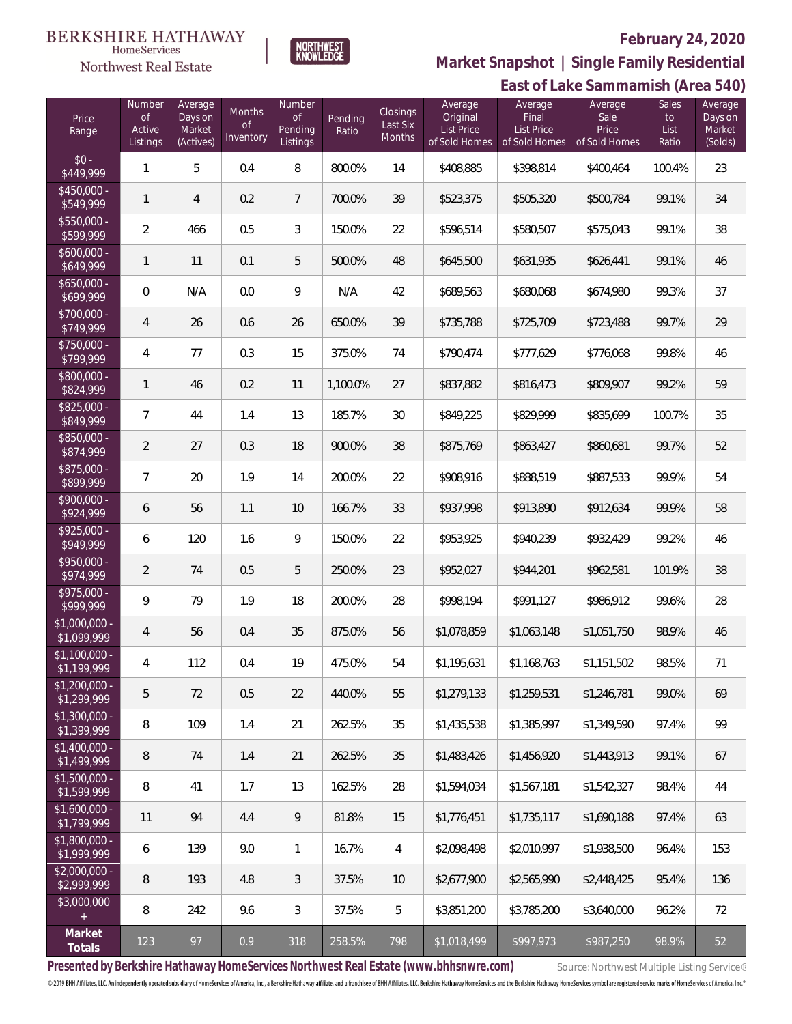

**HomeServices Northwest Real Estate** 

**Market Snapshot | Single Family Residential**

#### **East of Lake Sammamish (Area 540)** Price Range Number of Active Listings **Number** of Pending Listings Pending Ratio Closings Last Six Months Average Original List Price of Sold Homes **Average** Final List Price of Sold Homes Sales to List Ratio Average Sale Price of Sold Homes Average Days on Market (Solds) Average Days on Market (Actives) Months of **Inventory**  $$0 - $449.999$  $\frac{1}{3449,999}$  1 5 0.4 8 800.0% 14 \$408,885 \$398,814 \$400,464 100.4% 23 \$450,000<br>\$549,999 \$549,999 <sup>1</sup> <sup>4</sup> 0.2 <sup>7</sup> 700.0% <sup>39</sup> \$523,375 \$505,320 \$500,784 99.1% <sup>34</sup> \$550,000<br>\$599,999 \$599,999 <sup>2</sup> <sup>466</sup> 0.5 <sup>3</sup> 150.0% <sup>22</sup> \$596,514 \$580,507 \$575,043 99.1% <sup>38</sup> \$600,000 \$649,999 <sup>1</sup> <sup>11</sup> 0.1 <sup>5</sup> 500.0% <sup>48</sup> \$645,500 \$631,935 \$626,441 99.1% <sup>46</sup> \$650,000 \$699,999 0 N/A 0.0 9 N/A 42 \$689,563 \$680,068 \$674,980 99.3% 37 \$700,000 \$749,999 <sup>4</sup> <sup>26</sup> 0.6 <sup>26</sup> 650.0% <sup>39</sup> \$735,788 \$725,709 \$723,488 99.7% <sup>29</sup> \$750,000<br>\$799,999 \$799,999 <sup>4</sup> <sup>77</sup> 0.3 <sup>15</sup> 375.0% <sup>74</sup> \$790,474 \$777,629 \$776,068 99.8% <sup>46</sup> \$800,000<br>\$824,999 \$824,999 <sup>1</sup> <sup>46</sup> 0.2 <sup>11</sup> 1,100.0% <sup>27</sup> \$837,882 \$816,473 \$809,907 99.2% <sup>59</sup> \$825,000<br>\$849,999 \$849,999 <sup>7</sup> <sup>44</sup> 1.4 <sup>13</sup> 185.7% <sup>30</sup> \$849,225 \$829,999 \$835,699 100.7% <sup>35</sup> \$850,000 - \$874,999 <sup>2</sup> <sup>27</sup> 0.3 <sup>18</sup> 900.0% <sup>38</sup> \$875,769 \$863,427 \$860,681 99.7% <sup>52</sup> \$875,000 \$899,999 <sup>7</sup> <sup>20</sup> 1.9 <sup>14</sup> 200.0% <sup>22</sup> \$908,916 \$888,519 \$887,533 99.9% <sup>54</sup> \$900,000 \$924,999 <sup>6</sup> <sup>56</sup> 1.1 <sup>10</sup> 166.7% <sup>33</sup> \$937,998 \$913,890 \$912,634 99.9% <sup>58</sup> \$925,000 - \$949,999 <sup>6</sup> <sup>120</sup> 1.6 <sup>9</sup> 150.0% <sup>22</sup> \$953,925 \$940,239 \$932,429 99.2% <sup>46</sup> \$950,000 - \$974,999 <sup>2</sup> <sup>74</sup> 0.5 <sup>5</sup> 250.0% <sup>23</sup> \$952,027 \$944,201 \$962,581 101.9% <sup>38</sup> \$975,000 \$999,999 <sup>9</sup> <sup>79</sup> 1.9 <sup>18</sup> 200.0% <sup>28</sup> \$998,194 \$991,127 \$986,912 99.6% <sup>28</sup> \$1,000,000 - \$1,099,999 <sup>4</sup> <sup>56</sup> 0.4 <sup>35</sup> 875.0% <sup>56</sup> \$1,078,859 \$1,063,148 \$1,051,750 98.9% <sup>46</sup> \$1,100,000 \$1,199,999 <sup>4</sup> <sup>112</sup> 0.4 <sup>19</sup> 475.0% <sup>54</sup> \$1,195,631 \$1,168,763 \$1,151,502 98.5% <sup>71</sup> \$1,200,000<br>\$1,299,999 \$1,299,999 <sup>5</sup> <sup>72</sup> 0.5 <sup>22</sup> 440.0% <sup>55</sup> \$1,279,133 \$1,259,531 \$1,246,781 99.0% <sup>69</sup> \$1,300,000 -<br>\$1,399,999 \$1,399,999 <sup>8</sup> <sup>109</sup> 1.4 <sup>21</sup> 262.5% <sup>35</sup> \$1,435,538 \$1,385,997 \$1,349,590 97.4% <sup>99</sup> \$1,400,000 - \$1,499,999 <sup>8</sup> <sup>74</sup> 1.4 <sup>21</sup> 262.5% <sup>35</sup> \$1,483,426 \$1,456,920 \$1,443,913 99.1% <sup>67</sup> \$1,500,000 - \$1,599,999 <sup>8</sup> <sup>41</sup> 1.7 <sup>13</sup> 162.5% <sup>28</sup> \$1,594,034 \$1,567,181 \$1,542,327 98.4% <sup>44</sup> \$1,600,000<br>\$1,799,999 \$1,799,999 <sup>11</sup> <sup>94</sup> 4.4 <sup>9</sup> 81.8% <sup>15</sup> \$1,776,451 \$1,735,117 \$1,690,188 97.4% <sup>63</sup> \$1,800,000 -<br>\$1,999,999 \$1,999,999 <sup>6</sup> <sup>139</sup> 9.0 <sup>1</sup> 16.7% <sup>4</sup> \$2,098,498 \$2,010,997 \$1,938,500 96.4% <sup>153</sup> \$2,000,000 - \$2,999,999 <sup>8</sup> <sup>193</sup> 4.8 <sup>3</sup> 37.5% <sup>10</sup> \$2,677,900 \$2,565,990 \$2,448,425 95.4% <sup>136</sup> \$3,000,000 8 | 242 | 9.6 | 3 | 37.5% | 5 | \$3,851,200 | \$3,785,200 | \$3,640,000 | 96.2% | 72 **Market**

**Presented by Berkshire Hathaway HomeServices Northwest Real Estate (www.bhhsnwre.com)** Source: Northwest Multiple Listing Service®

© 2019 BHH Affiliates, LLC. An independently operated subsidiary of HomeServices of America, Inc., a Berkshire Hathaway affiliate, and a franchisee of BHH Affiliates, LLC. Berkshire Hathaway HomeServices and the Berkshire

**Totals** <sup>123</sup> <sup>97</sup> 0.9 <sup>318</sup> 258.5% <sup>798</sup> \$1,018,499 \$997,973 \$987,250 98.9% <sup>52</sup>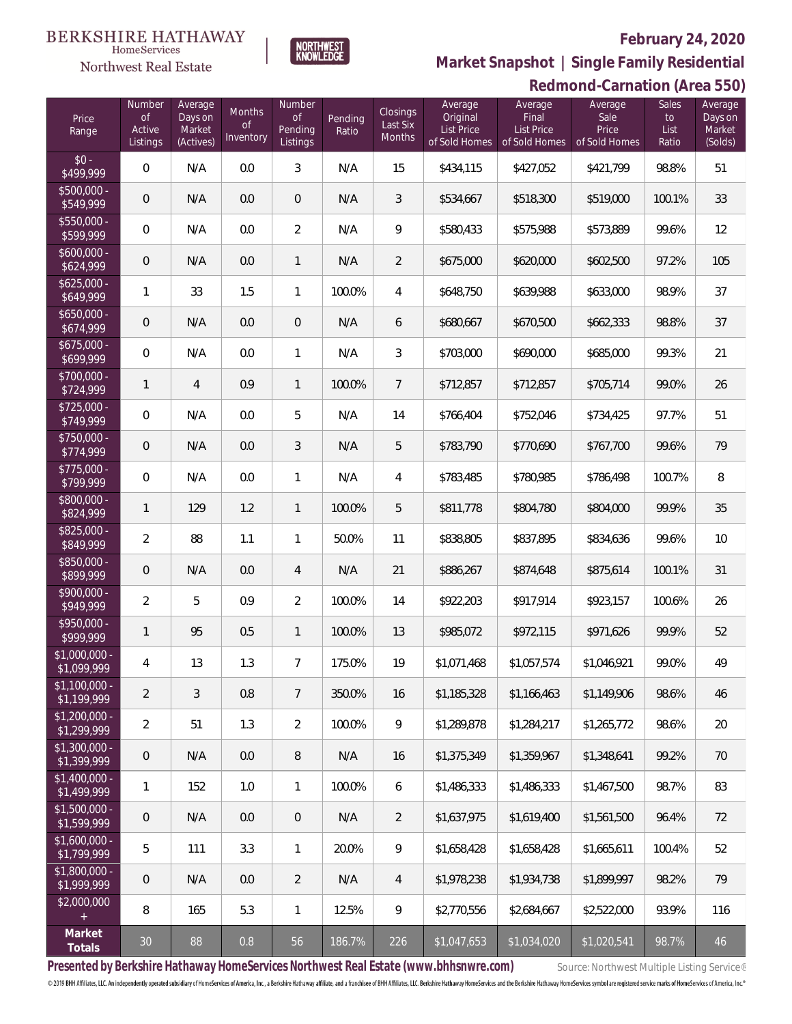

 $\label{lem:sevices} \textsc{Home} \textsc{Service} \textsc{s}$ 

# **Market Snapshot | Single Family Residential**

|                               | Redmond-Carnation (Area 550)       |                                           |                                  |                                            |                  |                                |                                                           |                                                        |                                           |                              |                                         |
|-------------------------------|------------------------------------|-------------------------------------------|----------------------------------|--------------------------------------------|------------------|--------------------------------|-----------------------------------------------------------|--------------------------------------------------------|-------------------------------------------|------------------------------|-----------------------------------------|
| Price<br>Range                | Number<br>of<br>Active<br>Listings | Average<br>Days on<br>Market<br>(Actives) | Months<br><b>of</b><br>Inventory | Number<br><b>of</b><br>Pending<br>Listings | Pending<br>Ratio | Closings<br>Last Six<br>Months | Average<br>Original<br><b>List Price</b><br>of Sold Homes | Average<br>Final<br><b>List Price</b><br>of Sold Homes | Average<br>Sale<br>Price<br>of Sold Homes | Sales<br>to<br>List<br>Ratio | Average<br>Days on<br>Market<br>(Solds) |
| $$0 -$<br>\$499,999           | $\,0\,$                            | N/A                                       | 0.0                              | $\mathfrak{Z}$                             | N/A              | 15                             | \$434,115                                                 | \$427,052                                              | \$421,799                                 | 98.8%                        | 51                                      |
| $$500,000 -$<br>\$549,999     | $\mathsf{O}\xspace$                | N/A                                       | 0.0                              | $\overline{0}$                             | N/A              | 3                              | \$534,667                                                 | \$518,300                                              | \$519,000                                 | 100.1%                       | 33                                      |
| \$550,000 -<br>\$599,999      | $\mathbf 0$                        | N/A                                       | 0.0                              | $\overline{2}$                             | N/A              | 9                              | \$580,433                                                 | \$575,988                                              | \$573,889                                 | 99.6%                        | 12                                      |
| $$600,000 -$<br>\$624,999     | $\mathsf{O}\xspace$                | N/A                                       | 0.0                              | $\mathbf{1}$                               | N/A              | $\overline{2}$                 | \$675,000                                                 | \$620,000                                              | \$602,500                                 | 97.2%                        | 105                                     |
| $$625,000 -$<br>\$649,999     | 1                                  | 33                                        | 1.5                              | $\mathbf{1}$                               | 100.0%           | $\sqrt{4}$                     | \$648,750                                                 | \$639,988                                              | \$633,000                                 | 98.9%                        | 37                                      |
| $$650,000 -$<br>\$674,999     | $\mathsf{O}\xspace$                | N/A                                       | 0.0                              | $\mathbf 0$                                | N/A              | 6                              | \$680,667                                                 | \$670,500                                              | \$662,333                                 | 98.8%                        | 37                                      |
| $$675,000 -$<br>\$699,999     | $\mathbf 0$                        | N/A                                       | 0.0                              | $\mathbf{1}$                               | N/A              | 3                              | \$703,000                                                 | \$690,000                                              | \$685,000                                 | 99.3%                        | 21                                      |
| \$700,000 -<br>\$724,999      | $\mathbf{1}$                       | $\overline{4}$                            | 0.9                              | $\mathbf{1}$                               | 100.0%           | 7                              | \$712,857                                                 | \$712,857                                              | \$705,714                                 | 99.0%                        | 26                                      |
| $$725,000 -$<br>\$749,999     | $\mathbf 0$                        | N/A                                       | 0.0                              | 5                                          | N/A              | 14                             | \$766,404                                                 | \$752,046                                              | \$734,425                                 | 97.7%                        | 51                                      |
| \$750,000 -<br>\$774,999      | $\mathsf{O}\xspace$                | N/A                                       | 0.0                              | $\mathfrak{Z}$                             | N/A              | 5                              | \$783,790                                                 | \$770,690                                              | \$767,700                                 | 99.6%                        | 79                                      |
| $$775,000 -$<br>\$799,999     | $\mathbf 0$                        | N/A                                       | 0.0                              | $\mathbf{1}$                               | N/A              | 4                              | \$783,485                                                 | \$780,985                                              | \$786,498                                 | 100.7%                       | 8                                       |
| \$800,000 -<br>\$824,999      | $\mathbf{1}$                       | 129                                       | 1.2                              | $\mathbf{1}$                               | 100.0%           | 5                              | \$811,778                                                 | \$804,780                                              | \$804,000                                 | 99.9%                        | 35                                      |
| \$825,000 -<br>\$849,999      | 2                                  | 88                                        | 1.1                              | $\mathbf{1}$                               | 50.0%            | 11                             | \$838,805                                                 | \$837,895                                              | \$834,636                                 | 99.6%                        | 10                                      |
| \$850,000 -<br>\$899,999      | 0                                  | N/A                                       | 0.0                              | $\overline{4}$                             | N/A              | 21                             | \$886,267                                                 | \$874,648                                              | \$875,614                                 | 100.1%                       | 31                                      |
| \$900,000 -<br>\$949,999      | $\overline{2}$                     | 5                                         | 0.9                              | $\overline{2}$                             | 100.0%           | 14                             | \$922,203                                                 | \$917,914                                              | \$923,157                                 | 100.6%                       | 26                                      |
| \$950,000 -<br>\$999,999      | 1                                  | 95                                        | 0.5                              | $\mathbf{1}$                               | 100.0%           | 13                             | \$985,072                                                 | \$972,115                                              | \$971,626                                 | 99.9%                        | 52                                      |
| \$1,000,000 -<br>\$1,099,999  | 4                                  | 13                                        | 1.3                              | $\overline{7}$                             | 175.0%           | 19                             | \$1,071,468                                               | \$1,057,574                                            | \$1,046,921                               | 99.0%                        | 49                                      |
| $$1,100,000 -$<br>\$1,199,999 | 2                                  | 3                                         | 0.8                              | $7\phantom{.0}$                            | 350.0%           | 16                             | \$1,185,328                                               | \$1,166,463                                            | \$1.149.906                               | 98.6%                        | 46                                      |
| $$1,200,000 -$<br>\$1,299,999 | 2                                  | 51                                        | 1.3                              | $\overline{2}$                             | 100.0%           | 9                              | \$1,289,878                                               | \$1,284,217                                            | \$1,265,772                               | 98.6%                        | 20                                      |
| $$1,300,000 -$<br>\$1,399,999 | 0                                  | N/A                                       | 0.0                              | 8                                          | N/A              | 16                             | \$1,375,349                                               | \$1,359,967                                            | \$1,348,641                               | 99.2%                        | 70                                      |
| $$1,400,000$ -<br>\$1,499,999 | 1                                  | 152                                       | 1.0                              | $\mathbf{1}$                               | 100.0%           | 6                              | \$1,486,333                                               | \$1,486,333                                            | \$1,467,500                               | 98.7%                        | 83                                      |
| $$1,500,000$ -<br>\$1,599,999 | $\mathbf 0$                        | N/A                                       | 0.0                              | $\overline{0}$                             | N/A              | 2                              | \$1,637,975                                               | \$1,619,400                                            | \$1.561.500                               | 96.4%                        | 72                                      |
| $$1,600,000 -$<br>\$1,799,999 | 5                                  | 111                                       | 3.3                              | $\mathbf{1}$                               | 20.0%            | 9                              | \$1,658,428                                               | \$1,658,428                                            | \$1,665,611                               | 100.4%                       | 52                                      |
| $$1,800,000 -$<br>\$1,999,999 | 0                                  | N/A                                       | 0.0                              | $\overline{2}$                             | N/A              | 4                              | \$1,978,238                                               | \$1,934,738                                            | \$1,899,997                               | 98.2%                        | 79                                      |
| \$2,000,000                   | 8                                  | 165                                       | 5.3                              | $\mathbf{1}$                               | 12.5%            | 9                              | \$2,770,556                                               | \$2,684,667                                            | \$2,522,000                               | 93.9%                        | 116                                     |
| Market<br>Totals              | 30                                 | 88                                        | 0.8                              | 56                                         | 186.7%           | 226                            | \$1,047,653                                               | \$1,034,020                                            | \$1,020,541                               | 98.7%                        | 46                                      |

Presented by Berkshire Hathaway HomeServices Northwest Real Estate (www.bhhsnwre.com) Source: Northwest Multiple Listing Service®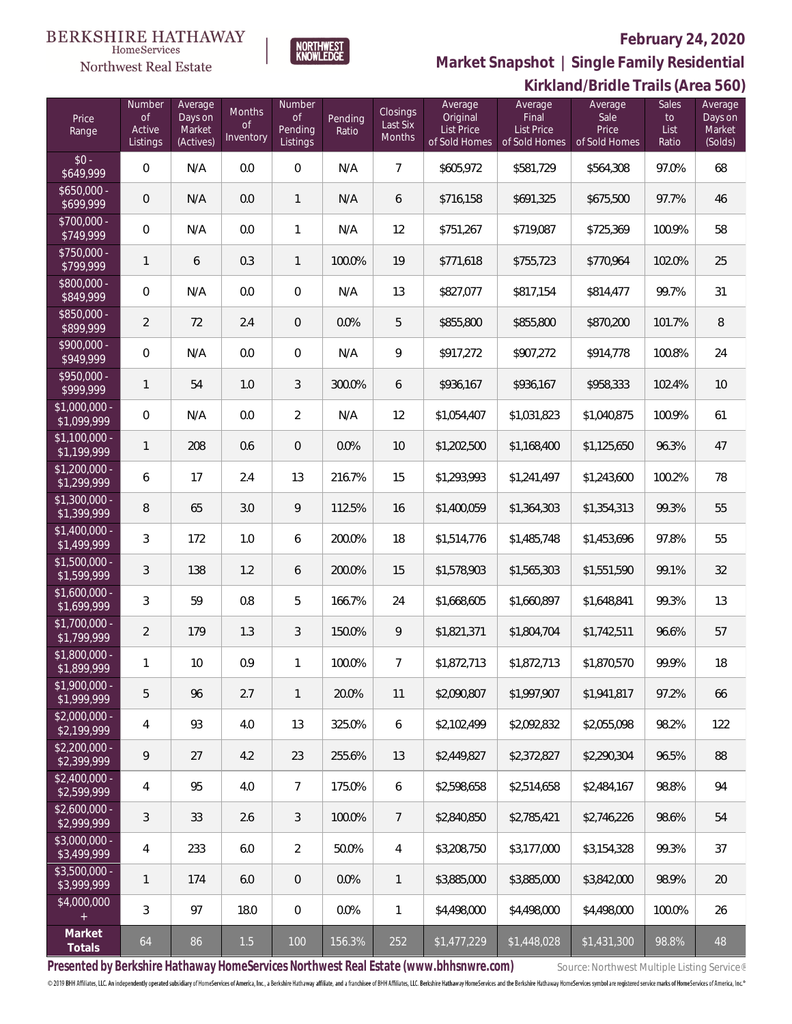

**Market Snapshot | Single Family Residential**

|                               | Kirkland/Bridle Trails (Area 560)  |                                           |                                  |                                                |                  |                                       |                                                           |                                                 |                                           |                              |                                         |
|-------------------------------|------------------------------------|-------------------------------------------|----------------------------------|------------------------------------------------|------------------|---------------------------------------|-----------------------------------------------------------|-------------------------------------------------|-------------------------------------------|------------------------------|-----------------------------------------|
| Price<br>Range                | Number<br>of<br>Active<br>Listings | Average<br>Days on<br>Market<br>(Actives) | Months<br><b>of</b><br>Inventory | Number<br>$\mathsf{of}$<br>Pending<br>Listings | Pending<br>Ratio | <b>Closings</b><br>Last Six<br>Months | Average<br>Original<br><b>List Price</b><br>of Sold Homes | Average<br>Final<br>List Price<br>of Sold Homes | Average<br>Sale<br>Price<br>of Sold Homes | Sales<br>to<br>List<br>Ratio | Average<br>Days on<br>Market<br>(Solds) |
| $$0 -$<br>\$649,999           | $\boldsymbol{0}$                   | N/A                                       | 0.0                              | $\mathbf 0$                                    | N/A              | $\overline{7}$                        | \$605,972                                                 | \$581,729                                       | \$564,308                                 | 97.0%                        | 68                                      |
| $$650,000 -$<br>\$699,999     | $\mathbf 0$                        | N/A                                       | 0.0                              | $\mathbf{1}$                                   | N/A              | 6                                     | \$716,158                                                 | \$691,325                                       | \$675,500                                 | 97.7%                        | 46                                      |
| \$700,000 -<br>\$749,999      | $\mathbb O$                        | N/A                                       | 0.0                              | $\mathbf{1}$                                   | N/A              | 12                                    | \$751,267                                                 | \$719,087                                       | \$725,369                                 | 100.9%                       | 58                                      |
| \$750,000 -<br>\$799,999      | $\mathbf{1}$                       | 6                                         | 0.3                              | $\mathbf{1}$                                   | 100.0%           | 19                                    | \$771,618                                                 | \$755,723                                       | \$770,964                                 | 102.0%                       | 25                                      |
| \$800,000 -<br>\$849,999      | $\mathbf 0$                        | N/A                                       | 0.0                              | $\mathbf 0$                                    | N/A              | 13                                    | \$827,077                                                 | \$817,154                                       | \$814,477                                 | 99.7%                        | 31                                      |
| \$850,000 -<br>\$899,999      | $\overline{2}$                     | 72                                        | 2.4                              | $\overline{0}$                                 | 0.0%             | 5                                     | \$855,800                                                 | \$855,800                                       | \$870,200                                 | 101.7%                       | 8                                       |
| \$900,000 -<br>\$949,999      | $\mathbf 0$                        | N/A                                       | 0.0                              | $\mathbf 0$                                    | N/A              | $\mathsf q$                           | \$917,272                                                 | \$907,272                                       | \$914,778                                 | 100.8%                       | 24                                      |
| \$950,000 -<br>\$999,999      | $\mathbf{1}$                       | 54                                        | 1.0                              | $\sqrt{3}$                                     | 300.0%           | 6                                     | \$936,167                                                 | \$936,167                                       | \$958,333                                 | 102.4%                       | 10                                      |
| \$1,000,000 -<br>\$1,099,999  | $\mathbf 0$                        | N/A                                       | 0.0                              | $\overline{2}$                                 | N/A              | 12                                    | \$1,054,407                                               | \$1,031,823                                     | \$1,040,875                               | 100.9%                       | 61                                      |
| $$1,100,000 -$<br>\$1,199,999 | $\mathbf{1}$                       | 208                                       | 0.6                              | $\overline{0}$                                 | 0.0%             | 10                                    | \$1,202,500                                               | \$1,168,400                                     | \$1,125,650                               | 96.3%                        | 47                                      |
| \$1,200,000 -<br>\$1,299,999  | 6                                  | 17                                        | 2.4                              | 13                                             | 216.7%           | 15                                    | \$1,293,993                                               | \$1,241,497                                     | \$1,243,600                               | 100.2%                       | 78                                      |
| $$1,300,000$ -<br>\$1,399,999 | 8                                  | 65                                        | 3.0                              | 9                                              | 112.5%           | 16                                    | \$1,400,059                                               | \$1,364,303                                     | \$1,354,313                               | 99.3%                        | 55                                      |
| $$1,400,000$ -<br>\$1,499,999 | 3                                  | 172                                       | 1.0                              | 6                                              | 200.0%           | 18                                    | \$1,514,776                                               | \$1,485,748                                     | \$1,453,696                               | 97.8%                        | 55                                      |
| $$1,500,000$ -<br>\$1,599,999 | 3                                  | 138                                       | 1.2                              | 6                                              | 200.0%           | 15                                    | \$1,578,903                                               | \$1,565,303                                     | \$1,551,590                               | 99.1%                        | 32                                      |
| \$1,600,000 -<br>\$1,699,999  | 3                                  | 59                                        | 0.8                              | 5                                              | 166.7%           | 24                                    | \$1,668,605                                               | \$1,660,897                                     | \$1,648,841                               | 99.3%                        | 13                                      |
| \$1,700,000<br>\$1,799,999    | 2                                  | 179                                       | 1.3                              | $\mathfrak{Z}$                                 | 150.0%           | 9                                     | \$1,821,371                                               | \$1,804,704                                     | \$1,742,511                               | 96.6%                        | 57                                      |
| \$1,800,000<br>\$1,899,999    | 1                                  | 10 <sup>°</sup>                           | 0.9                              | $\mathbf{1}$                                   | 100.0%           | 7                                     | \$1,872,713                                               | \$1,872,713                                     | \$1,870,570                               | 99.9%                        | 18                                      |
| \$1,900,000 -<br>\$1,999,999  | 5                                  | 96                                        | 2.7                              | $\mathbf{1}$                                   | 20.0%            | 11                                    | \$2,090,807                                               | \$1,997,907                                     | \$1,941,817                               | 97.2%                        | 66                                      |
| $$2,000,000 -$<br>\$2,199,999 | 4                                  | 93                                        | 4.0                              | 13                                             | 325.0%           | 6                                     | \$2,102,499                                               | \$2,092,832                                     | \$2,055,098                               | 98.2%                        | 122                                     |
| $$2,200,000 -$<br>\$2,399,999 | 9                                  | 27                                        | 4.2                              | 23                                             | 255.6%           | 13                                    | \$2,449,827                                               | \$2,372,827                                     | \$2,290,304                               | 96.5%                        | 88                                      |
| $$2,400,000 -$<br>\$2,599,999 | 4                                  | 95                                        | 4.0                              | $\overline{7}$                                 | 175.0%           | 6                                     | \$2,598,658                                               | \$2,514,658                                     | \$2,484,167                               | 98.8%                        | 94                                      |
| $$2,600,000 -$<br>\$2,999,999 | 3                                  | 33                                        | 2.6                              | $\mathfrak{Z}$                                 | 100.0%           | $\overline{7}$                        | \$2,840,850                                               | \$2,785,421                                     | \$2.746.226                               | 98.6%                        | 54                                      |
| \$3,000,000 -<br>\$3,499,999  | 4                                  | 233                                       | 6.0                              | $\overline{2}$                                 | 50.0%            | $\overline{4}$                        | \$3,208,750                                               | \$3,177,000                                     | \$3,154,328                               | 99.3%                        | 37                                      |
| $$3,500,000 -$<br>\$3,999,999 | 1                                  | 174                                       | 6.0                              | $\overline{0}$                                 | 0.0%             | $\mathbf{1}$                          | \$3,885,000                                               | \$3,885,000                                     | \$3,842,000                               | 98.9%                        | 20                                      |
| \$4,000,000                   | 3                                  | 97                                        | 18.0                             | $\mathbf 0$                                    | 0.0%             | $\mathbf{1}$                          | \$4,498,000                                               | \$4,498,000                                     | \$4,498,000                               | 100.0%                       | 26                                      |
| Market<br>Totals              | 64                                 | 86                                        | 1.5                              | 100                                            | 156.3%           | 252                                   | \$1,477,229                                               | \$1,448,028                                     | \$1,431,300                               | 98.8%                        | 48                                      |

Presented by Berkshire Hathaway HomeServices Northwest Real Estate (www.bhhsnwre.com) Source: Northwest Multiple Listing Service®